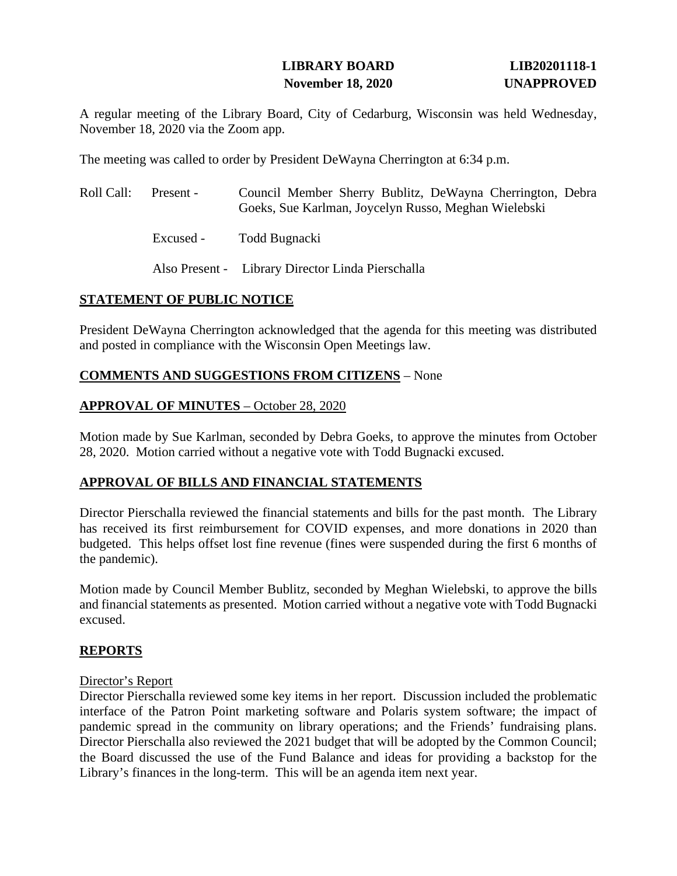### **LIBRARY BOARD LIB20201118-1 November 18, 2020 UNAPPROVED**

A regular meeting of the Library Board, City of Cedarburg, Wisconsin was held Wednesday, November 18, 2020 via the Zoom app.

The meeting was called to order by President DeWayna Cherrington at 6:34 p.m.

| Roll Call: | Present - | Council Member Sherry Bublitz, DeWayna Cherrington, Debra<br>Goeks, Sue Karlman, Joycelyn Russo, Meghan Wielebski |
|------------|-----------|-------------------------------------------------------------------------------------------------------------------|
|            | Excused - | Todd Bugnacki                                                                                                     |
|            |           | Also Present - Library Director Linda Pierschalla                                                                 |

### **STATEMENT OF PUBLIC NOTICE**

President DeWayna Cherrington acknowledged that the agenda for this meeting was distributed and posted in compliance with the Wisconsin Open Meetings law.

### **COMMENTS AND SUGGESTIONS FROM CITIZENS** – None

#### **APPROVAL OF MINUTES** – October 28, 2020

Motion made by Sue Karlman, seconded by Debra Goeks, to approve the minutes from October 28, 2020. Motion carried without a negative vote with Todd Bugnacki excused.

#### **APPROVAL OF BILLS AND FINANCIAL STATEMENTS**

Director Pierschalla reviewed the financial statements and bills for the past month. The Library has received its first reimbursement for COVID expenses, and more donations in 2020 than budgeted. This helps offset lost fine revenue (fines were suspended during the first 6 months of the pandemic).

Motion made by Council Member Bublitz, seconded by Meghan Wielebski, to approve the bills and financial statements as presented. Motion carried without a negative vote with Todd Bugnacki excused.

### **REPORTS**

#### Director's Report

Director Pierschalla reviewed some key items in her report. Discussion included the problematic interface of the Patron Point marketing software and Polaris system software; the impact of pandemic spread in the community on library operations; and the Friends' fundraising plans. Director Pierschalla also reviewed the 2021 budget that will be adopted by the Common Council; the Board discussed the use of the Fund Balance and ideas for providing a backstop for the Library's finances in the long-term. This will be an agenda item next year.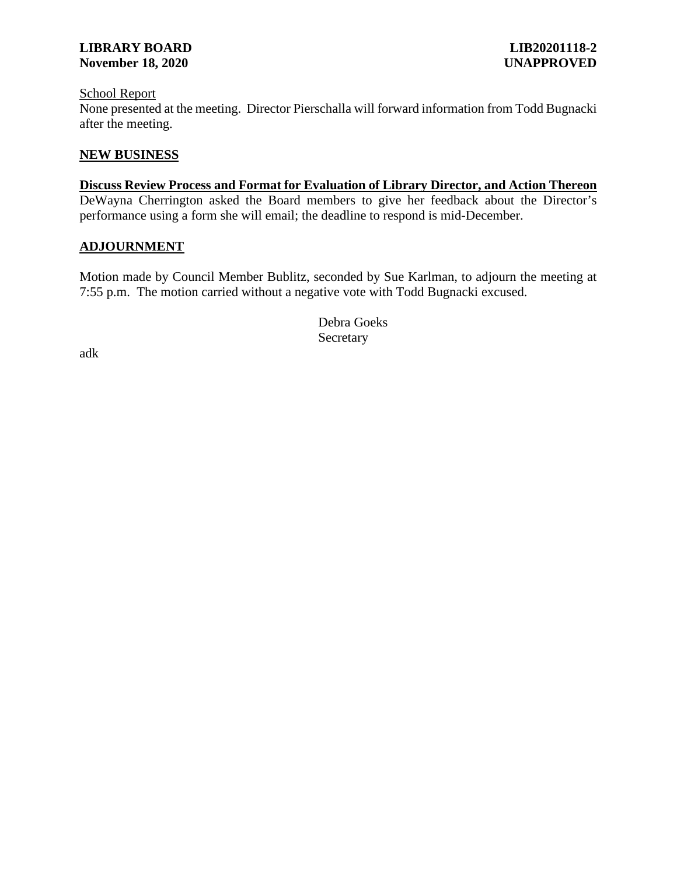#### **LIBRARY BOARD LIB20201118-2 November 18, 2020 UNAPPROVED**

#### School Report

None presented at the meeting. Director Pierschalla will forward information from Todd Bugnacki after the meeting.

#### **NEW BUSINESS**

#### **Discuss Review Process and Format for Evaluation of Library Director, and Action Thereon** DeWayna Cherrington asked the Board members to give her feedback about the Director's performance using a form she will email; the deadline to respond is mid-December.

#### **ADJOURNMENT**

Motion made by Council Member Bublitz, seconded by Sue Karlman, to adjourn the meeting at 7:55 p.m. The motion carried without a negative vote with Todd Bugnacki excused.

> Debra Goeks **Secretary**

adk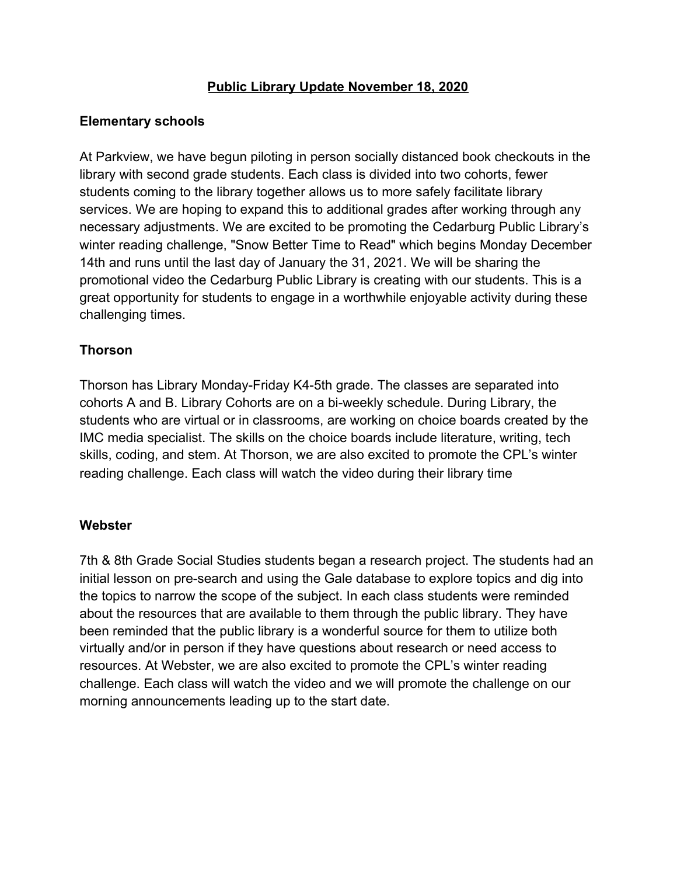## **Public Library Update November 18, 2020**

## **Elementary schools**

At Parkview, we have begun piloting in person socially distanced book checkouts in the library with second grade students. Each class is divided into two cohorts, fewer students coming to the library together allows us to more safely facilitate library services. We are hoping to expand this to additional grades after working through any necessary adjustments. We are excited to be promoting the Cedarburg Public Library's winter reading challenge, "Snow Better Time to Read" which begins Monday December 14th and runs until the last day of January the 31, 2021. We will be sharing the promotional video the Cedarburg Public Library is creating with our students. This is a great opportunity for students to engage in a worthwhile enjoyable activity during these challenging times.

# **Thorson**

Thorson has Library Monday-Friday K4-5th grade. The classes are separated into cohorts A and B. Library Cohorts are on a bi-weekly schedule. During Library, the students who are virtual or in classrooms, are working on choice boards created by the IMC media specialist. The skills on the choice boards include literature, writing, tech skills, coding, and stem. At Thorson, we are also excited to promote the CPL's winter reading challenge. Each class will watch the video during their library time

## **Webster**

7th & 8th Grade Social Studies students began a research project. The students had an initial lesson on pre-search and using the Gale database to explore topics and dig into the topics to narrow the scope of the subject. In each class students were reminded about the resources that are available to them through the public library. They have been reminded that the public library is a wonderful source for them to utilize both virtually and/or in person if they have questions about research or need access to resources. At Webster, we are also excited to promote the CPL's winter reading challenge. Each class will watch the video and we will promote the challenge on our morning announcements leading up to the start date.